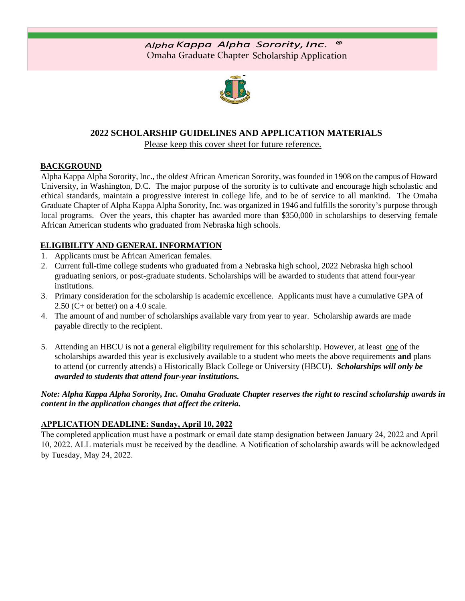

#### **2022 SCHOLARSHIP GUIDELINES AND APPLICATION MATERIALS**

Please keep this cover sheet for future reference.

#### **BACKGROUND**

Alpha Kappa Alpha Sorority, Inc., the oldest African American Sorority, was founded in 1908 on the campus of Howard University, in Washington, D.C. The major purpose of the sorority is to cultivate and encourage high scholastic and ethical standards, maintain a progressive interest in college life, and to be of service to all mankind. The Omaha Graduate Chapter of Alpha Kappa Alpha Sorority, Inc. was organized in 1946 and fulfills the sorority's purpose through local programs. Over the years, this chapter has awarded more than \$350,000 in scholarships to deserving female African American students who graduated from Nebraska high schools.

#### **ELIGIBILITY AND GENERAL INFORMATION**

- 1. Applicants must be African American females.
- 2. Current full-time college students who graduated from a Nebraska high school, 2022 Nebraska high school graduating seniors, or post-graduate students. Scholarships will be awarded to students that attend four-year institutions.
- 3. Primary consideration for the scholarship is academic excellence. Applicants must have a cumulative GPA of 2.50 (C+ or better) on a 4.0 scale.
- 4. The amount of and number of scholarships available vary from year to year. Scholarship awards are made payable directly to the recipient.
- 5. Attending an HBCU is not a general eligibility requirement for this scholarship. However, at least one of the scholarships awarded this year is exclusively available to a student who meets the above requirements **and** plans to attend (or currently attends) a Historically Black College or University (HBCU). *Scholarships will only be awarded to students that attend four-year institutions.*

*Note: Alpha Kappa Alpha Sorority, Inc. Omaha Graduate Chapter reserves the right to rescind scholarship awards in content in the application changes that affect the criteria.* 

#### **APPLICATION DEADLINE: Sunday, April 10, 2022**

The completed application must have a postmark or email date stamp designation between January 24, 2022 and April 10, 2022. ALL materials must be received by the deadline. A Notification of scholarship awards will be acknowledged by Tuesday, May 24, 2022.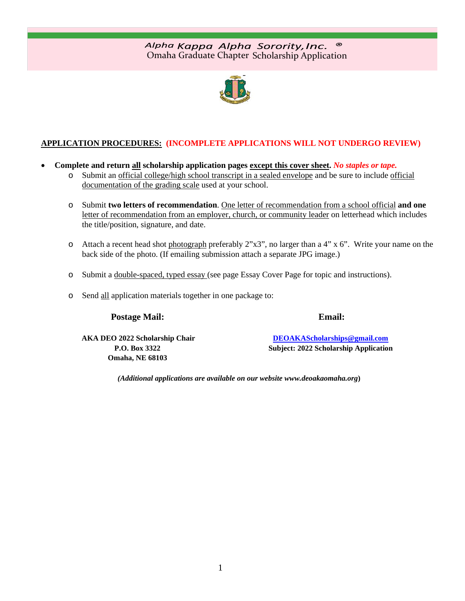

#### **APPLICATION PROCEDURES: (INCOMPLETE APPLICATIONS WILL NOT UNDERGO REVIEW)**

- **Complete and return all scholarship application pages except this cover sheet.** *No staples or tape.*
	- o Submit an official college/high school transcript in a sealed envelope and be sure to include official documentation of the grading scale used at your school.
	- o Submit **two letters of recommendation**. One letter of recommendation from a school official **and one** letter of recommendation from an employer, church, or community leader on letterhead which includes the title/position, signature, and date.
	- $\circ$  Attach a recent head shot photograph preferably 2"x3", no larger than a 4" x 6". Write your name on the back side of the photo. (If emailing submission attach a separate JPG image.)
	- o Submit a double-spaced, typed essay (see page Essay Cover Page for topic and instructions).
	- o Send all application materials together in one package to:

**Postage Mail: Email:** 

**Omaha, NE 68103**

**AKA DEO 2022 Scholarship Chair DEOAKAScholarships@gmail.com P.O. Box 3322 Subject: 2022 Scholarship Application** 

*(Additional applications are available on our website www.deoakaomaha.org***)**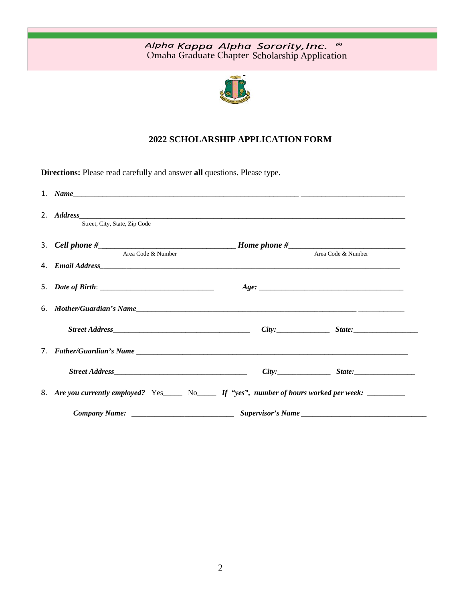# Omaha Graduate Chapter Scholarship Application



### **2022 SCHOLARSHIP APPLICATION FORM**

**Directions:** Please read carefully and answer **all** questions. Please type.

| Street, City, State, Zip Code                                                                        |                       |  |
|------------------------------------------------------------------------------------------------------|-----------------------|--|
|                                                                                                      |                       |  |
| Area Code & Number                                                                                   | Area Code & Number    |  |
|                                                                                                      |                       |  |
|                                                                                                      |                       |  |
|                                                                                                      | $City:$ State: State: |  |
|                                                                                                      |                       |  |
|                                                                                                      |                       |  |
| 8. Are you currently employed? Yes_____ No_____ If "yes", number of hours worked per week: _________ |                       |  |
|                                                                                                      |                       |  |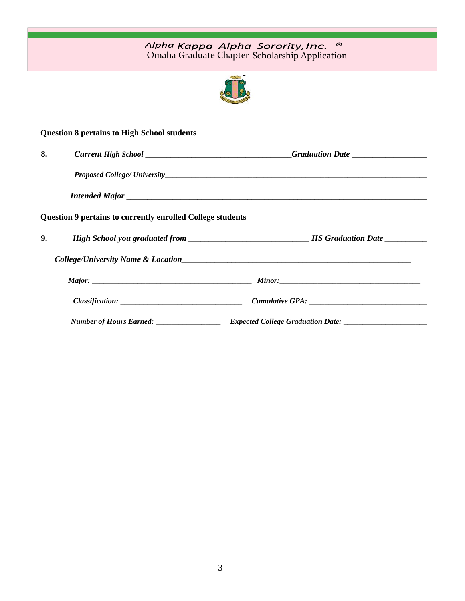# Omaha Graduate Chapter Scholarship Application



#### **Question 8 pertains to High School students**

| 8. |                                                                   | Current High School _______________________________Graduation Date ______________        |
|----|-------------------------------------------------------------------|------------------------------------------------------------------------------------------|
|    |                                                                   |                                                                                          |
|    |                                                                   |                                                                                          |
|    | <b>Question 9 pertains to currently enrolled College students</b> |                                                                                          |
| 9. |                                                                   | High School you graduated from _____________________________HS Graduation Date _________ |
|    |                                                                   |                                                                                          |
|    |                                                                   |                                                                                          |
|    |                                                                   |                                                                                          |
|    |                                                                   |                                                                                          |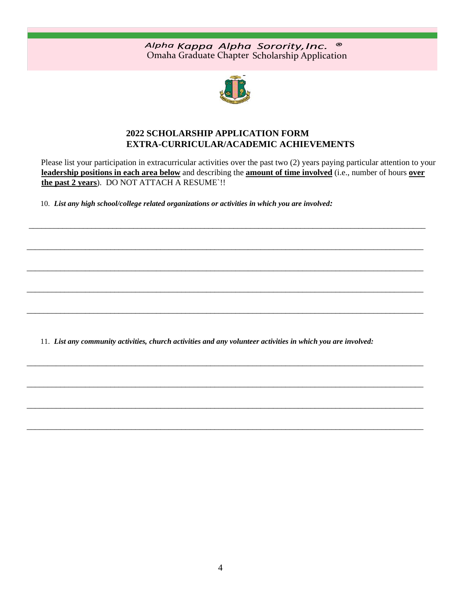

#### **2022 SCHOLARSHIP APPLICATION FORM EXTRA-CURRICULAR/ACADEMIC ACHIEVEMENTS**

Please list your participation in extracurricular activities over the past two (2) years paying particular attention to your **leadership positions in each area below** and describing the **amount of time involved** (i.e., number of hours **over the past 2 years**). DO NOT ATTACH A RESUME`!!

\_\_\_\_\_\_\_\_\_\_\_\_\_\_\_\_\_\_\_\_\_\_\_\_\_\_\_\_\_\_\_\_\_\_\_\_\_\_\_\_\_\_\_\_\_\_\_\_\_\_\_\_\_\_\_\_\_\_\_\_\_\_\_\_\_\_\_\_\_\_\_\_\_\_\_\_\_\_\_\_\_\_\_\_\_\_\_\_\_\_\_\_\_\_\_

\_\_\_\_\_\_\_\_\_\_\_\_\_\_\_\_\_\_\_\_\_\_\_\_\_\_\_\_\_\_\_\_\_\_\_\_\_\_\_\_\_\_\_\_\_\_\_\_\_\_\_\_\_\_\_\_\_\_\_\_\_\_\_\_\_\_\_\_\_\_\_\_\_\_\_\_\_\_\_\_\_\_\_\_\_\_\_\_\_\_\_\_\_\_\_

\_\_\_\_\_\_\_\_\_\_\_\_\_\_\_\_\_\_\_\_\_\_\_\_\_\_\_\_\_\_\_\_\_\_\_\_\_\_\_\_\_\_\_\_\_\_\_\_\_\_\_\_\_\_\_\_\_\_\_\_\_\_\_\_\_\_\_\_\_\_\_\_\_\_\_\_\_\_\_\_\_\_\_\_\_\_\_\_\_\_\_\_\_\_\_

\_\_\_\_\_\_\_\_\_\_\_\_\_\_\_\_\_\_\_\_\_\_\_\_\_\_\_\_\_\_\_\_\_\_\_\_\_\_\_\_\_\_\_\_\_\_\_\_\_\_\_\_\_\_\_\_\_\_\_\_\_\_\_\_\_\_\_\_\_\_\_\_\_\_\_\_\_\_\_\_\_\_\_\_\_\_\_\_\_\_\_\_\_\_\_

\_\_\_\_\_\_\_\_\_\_\_\_\_\_\_\_\_\_\_\_\_\_\_\_\_\_\_\_\_\_\_\_\_\_\_\_\_\_\_\_\_\_\_\_\_\_\_\_\_\_\_\_\_\_\_\_\_\_\_\_\_\_\_\_\_\_\_\_\_\_\_\_\_\_\_\_\_\_\_\_\_\_\_\_\_\_\_\_\_\_\_\_\_\_\_

\_\_\_\_\_\_\_\_\_\_\_\_\_\_\_\_\_\_\_\_\_\_\_\_\_\_\_\_\_\_\_\_\_\_\_\_\_\_\_\_\_\_\_\_\_\_\_\_\_\_\_\_\_\_\_\_\_\_\_\_\_\_\_\_\_\_\_\_\_\_\_\_\_\_\_\_\_\_\_\_\_\_\_\_\_\_\_\_\_\_\_\_\_\_\_

\_\_\_\_\_\_\_\_\_\_\_\_\_\_\_\_\_\_\_\_\_\_\_\_\_\_\_\_\_\_\_\_\_\_\_\_\_\_\_\_\_\_\_\_\_\_\_\_\_\_\_\_\_\_\_\_\_\_\_\_\_\_\_\_\_\_\_\_\_\_\_\_\_\_\_\_\_\_\_\_\_\_\_\_\_\_\_\_\_\_\_\_\_\_\_

\_\_\_\_\_\_\_\_\_\_\_\_\_\_\_\_\_\_\_\_\_\_\_\_\_\_\_\_\_\_\_\_\_\_\_\_\_\_\_\_\_\_\_\_\_\_\_\_\_\_\_\_\_\_\_\_\_\_\_\_\_\_\_\_\_\_\_\_\_\_\_\_\_\_\_\_\_\_\_\_\_\_\_\_\_\_\_\_\_\_\_\_\_\_\_

\_\_\_\_\_\_\_\_\_\_\_\_\_\_\_\_\_\_\_\_\_\_\_\_\_\_\_\_\_\_\_\_\_\_\_\_\_\_\_\_\_\_\_\_\_\_\_\_\_\_\_\_\_\_\_\_\_\_\_\_\_\_\_\_\_\_\_\_\_\_\_\_\_\_\_\_\_\_\_\_\_\_\_\_\_\_\_\_\_\_\_\_\_\_\_

10. *List any high school/college related organizations or activities in which you are involved:*

11. *List any community activities, church activities and any volunteer activities in which you are involved:*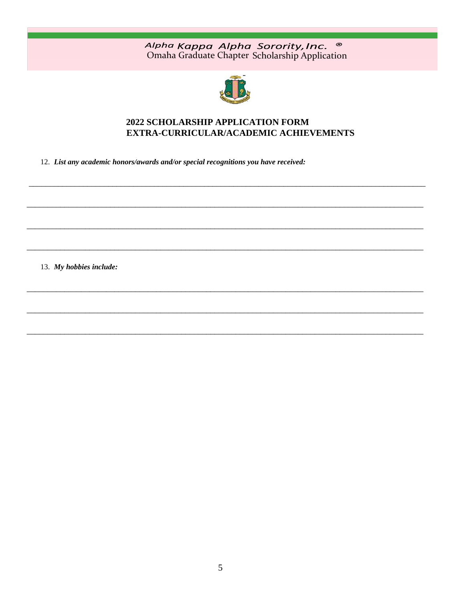

### 2022 SCHOLARSHIP APPLICATION FORM EXTRA-CURRICULAR/ACADEMIC ACHIEVEMENTS

12. List any academic honors/awards and/or special recognitions you have received:

13. My hobbies include: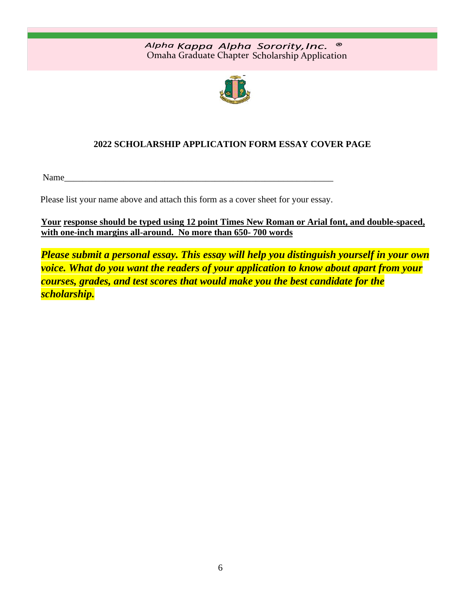

#### **2022 SCHOLARSHIP APPLICATION FORM ESSAY COVER PAGE**

Name

Please list your name above and attach this form as a cover sheet for your essay.

**Your response should be typed using 12 point Times New Roman or Arial font, and double-spaced, with one-inch margins all-around. No more than 650- 700 words** 

*Please submit a personal essay. This essay will help you distinguish yourself in your own voice. What do you want the readers of your application to know about apart from your courses, grades, and test scores that would make you the best candidate for the scholarship.*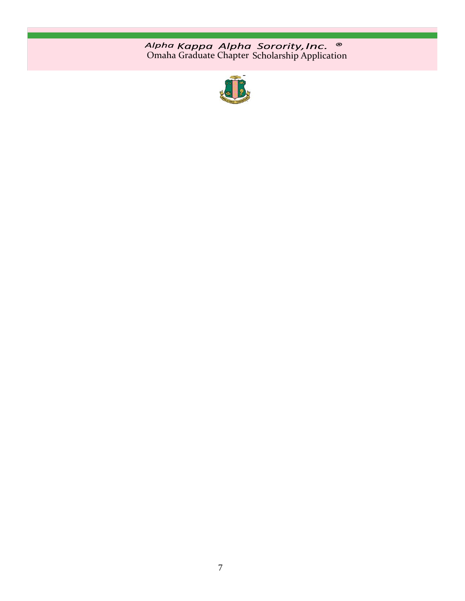Omaha Graduate Chapter Scholarship Application

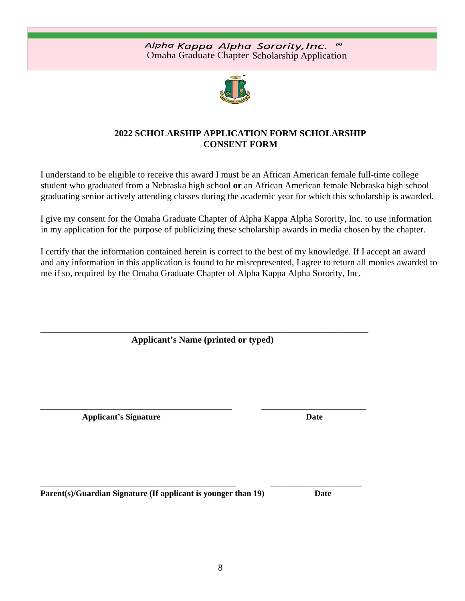

#### **2022 SCHOLARSHIP APPLICATION FORM SCHOLARSHIP CONSENT FORM**

I understand to be eligible to receive this award I must be an African American female full-time college student who graduated from a Nebraska high school **or** an African American female Nebraska high school graduating senior actively attending classes during the academic year for which this scholarship is awarded.

I give my consent for the Omaha Graduate Chapter of Alpha Kappa Alpha Sorority, Inc. to use information in my application for the purpose of publicizing these scholarship awards in media chosen by the chapter.

I certify that the information contained herein is correct to the best of my knowledge. If I accept an award and any information in this application is found to be misrepresented, I agree to return all monies awarded to me if so, required by the Omaha Graduate Chapter of Alpha Kappa Alpha Sorority, Inc.

\_\_\_\_\_\_\_\_\_\_\_\_\_\_\_\_\_\_\_\_\_\_\_\_\_\_\_\_\_\_\_\_\_\_\_\_\_\_\_\_\_\_\_\_\_\_\_\_\_\_\_\_\_\_\_\_\_\_\_\_\_\_\_\_\_\_\_\_\_\_\_\_ **Applicant's Name (printed or typed)** 

\_\_\_\_\_\_\_\_\_\_\_\_\_\_\_\_\_\_\_\_\_\_\_\_\_\_\_\_\_\_\_\_\_\_\_\_\_\_\_\_\_\_ \_\_\_\_\_\_\_\_\_\_\_\_\_\_\_\_\_\_\_\_\_\_\_

\_\_\_\_\_\_\_\_\_\_\_\_\_\_\_\_\_\_\_\_\_\_\_\_\_\_\_\_\_\_\_\_\_\_\_\_\_\_\_\_\_\_\_ \_\_\_\_\_\_\_\_\_\_\_\_\_\_\_\_\_\_\_\_

**Applicant's Signature Date** 

Parent(s)/Guardian Signature (If applicant is younger than 19) Date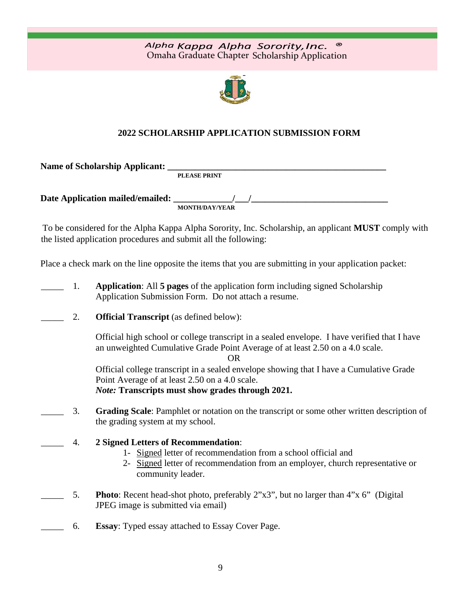

#### **2022 SCHOLARSHIP APPLICATION SUBMISSION FORM**

Name of Scholarship Applicant: **PLEASE PRINT** 

**Date Application mailed/emailed: \_\_\_\_\_\_\_\_\_\_\_\_\_/\_\_\_/\_\_\_\_\_\_\_\_\_\_\_\_\_\_\_\_\_\_\_\_\_\_\_\_\_\_\_\_\_\_ MONTH/DAY/YEAR** 

To be considered for the Alpha Kappa Alpha Sorority, Inc. Scholarship, an applicant **MUST** comply with the listed application procedures and submit all the following:

Place a check mark on the line opposite the items that you are submitting in your application packet:

- \_\_\_\_\_ 1. **Application**: All **5 pages** of the application form including signed Scholarship Application Submission Form. Do not attach a resume.
- \_\_\_\_\_ 2. **Official Transcript** (as defined below):

Official high school or college transcript in a sealed envelope. I have verified that I have an unweighted Cumulative Grade Point Average of at least 2.50 on a 4.0 scale.

OR

Official college transcript in a sealed envelope showing that I have a Cumulative Grade Point Average of at least 2.50 on a 4.0 scale.

*Note:* **Transcripts must show grades through 2021.**

- \_\_\_\_\_ 3. **Grading Scale**: Pamphlet or notation on the transcript or some other written description of the grading system at my school.
- \_\_\_\_\_ 4. **2 Signed Letters of Recommendation**:
	- 1- Signed letter of recommendation from a school official and
	- 2- Signed letter of recommendation from an employer, church representative or community leader.
	- \_\_\_\_\_ 5. **Photo**: Recent head-shot photo, preferably 2"x3", but no larger than 4"x 6" (Digital JPEG image is submitted via email)
- \_\_\_\_\_ 6. **Essay**: Typed essay attached to Essay Cover Page.